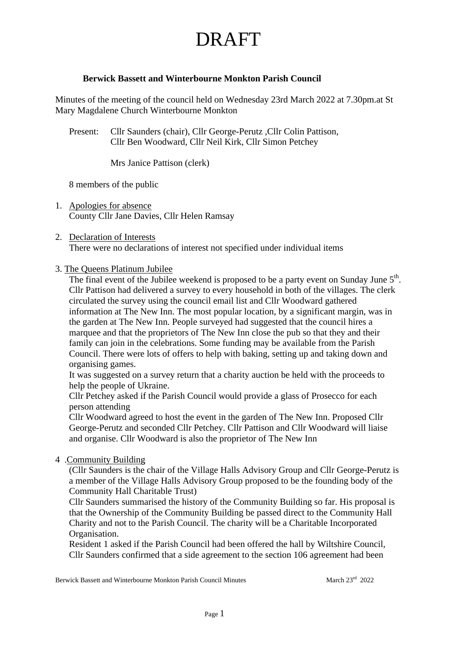### **Berwick Bassett and Winterbourne Monkton Parish Council**

Minutes of the meeting of the council held on Wednesday 23rd March 2022 at 7.30pm.at St Mary Magdalene Church Winterbourne Monkton

Present: Cllr Saunders (chair), Cllr George-Perutz ,Cllr Colin Pattison, Cllr Ben Woodward, Cllr Neil Kirk, Cllr Simon Petchey

Mrs Janice Pattison (clerk)

8 members of the public

1. Apologies for absence County Cllr Jane Davies, Cllr Helen Ramsay

#### 2. Declaration of Interests There were no declarations of interest not specified under individual items

#### 3. The Queens Platinum Jubilee

The final event of the Jubilee weekend is proposed to be a party event on Sunday June  $5<sup>th</sup>$ . Cllr Pattison had delivered a survey to every household in both of the villages. The clerk circulated the survey using the council email list and Cllr Woodward gathered information at The New Inn. The most popular location, by a significant margin, was in the garden at The New Inn. People surveyed had suggested that the council hires a marquee and that the proprietors of The New Inn close the pub so that they and their family can join in the celebrations. Some funding may be available from the Parish Council. There were lots of offers to help with baking, setting up and taking down and organising games.

It was suggested on a survey return that a charity auction be held with the proceeds to help the people of Ukraine.

Cllr Petchey asked if the Parish Council would provide a glass of Prosecco for each person attending

Cllr Woodward agreed to host the event in the garden of The New Inn. Proposed Cllr George-Perutz and seconded Cllr Petchey. Cllr Pattison and Cllr Woodward will liaise and organise. Cllr Woodward is also the proprietor of The New Inn

#### 4 .Community Building

(Cllr Saunders is the chair of the Village Halls Advisory Group and Cllr George-Perutz is a member of the Village Halls Advisory Group proposed to be the founding body of the Community Hall Charitable Trust)

Cllr Saunders summarised the history of the Community Building so far. His proposal is that the Ownership of the Community Building be passed direct to the Community Hall Charity and not to the Parish Council. The charity will be a Charitable Incorporated Organisation.

Resident 1 asked if the Parish Council had been offered the hall by Wiltshire Council, Cllr Saunders confirmed that a side agreement to the section 106 agreement had been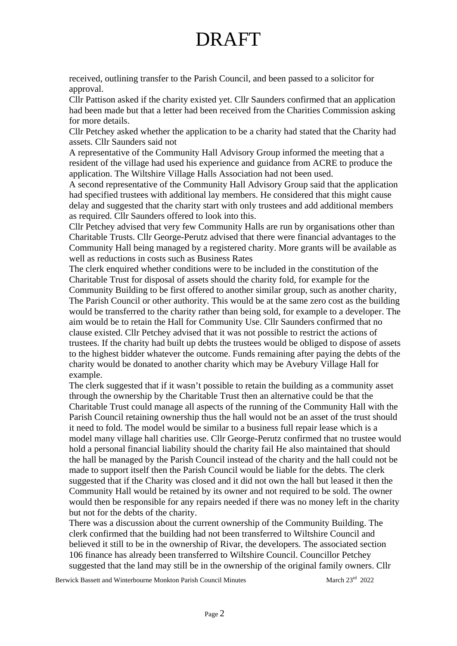received, outlining transfer to the Parish Council, and been passed to a solicitor for approval.

Cllr Pattison asked if the charity existed yet. Cllr Saunders confirmed that an application had been made but that a letter had been received from the Charities Commission asking for more details.

Cllr Petchey asked whether the application to be a charity had stated that the Charity had assets. Cllr Saunders said not

A representative of the Community Hall Advisory Group informed the meeting that a resident of the village had used his experience and guidance from ACRE to produce the application. The Wiltshire Village Halls Association had not been used.

A second representative of the Community Hall Advisory Group said that the application had specified trustees with additional lay members. He considered that this might cause delay and suggested that the charity start with only trustees and add additional members as required. Cllr Saunders offered to look into this.

Cllr Petchey advised that very few Community Halls are run by organisations other than Charitable Trusts. Cllr George-Perutz advised that there were financial advantages to the Community Hall being managed by a registered charity. More grants will be available as well as reductions in costs such as Business Rates

The clerk enquired whether conditions were to be included in the constitution of the Charitable Trust for disposal of assets should the charity fold, for example for the Community Building to be first offered to another similar group, such as another charity, The Parish Council or other authority. This would be at the same zero cost as the building would be transferred to the charity rather than being sold, for example to a developer. The aim would be to retain the Hall for Community Use. Cllr Saunders confirmed that no clause existed. Cllr Petchey advised that it was not possible to restrict the actions of trustees. If the charity had built up debts the trustees would be obliged to dispose of assets to the highest bidder whatever the outcome. Funds remaining after paying the debts of the charity would be donated to another charity which may be Avebury Village Hall for example.

The clerk suggested that if it wasn't possible to retain the building as a community asset through the ownership by the Charitable Trust then an alternative could be that the Charitable Trust could manage all aspects of the running of the Community Hall with the Parish Council retaining ownership thus the hall would not be an asset of the trust should it need to fold. The model would be similar to a business full repair lease which is a model many village hall charities use. Cllr George-Perutz confirmed that no trustee would hold a personal financial liability should the charity fail He also maintained that should the hall be managed by the Parish Council instead of the charity and the hall could not be made to support itself then the Parish Council would be liable for the debts. The clerk suggested that if the Charity was closed and it did not own the hall but leased it then the Community Hall would be retained by its owner and not required to be sold. The owner would then be responsible for any repairs needed if there was no money left in the charity but not for the debts of the charity.

There was a discussion about the current ownership of the Community Building. The clerk confirmed that the building had not been transferred to Wiltshire Council and believed it still to be in the ownership of Rivar, the developers. The associated section 106 finance has already been transferred to Wiltshire Council. Councillor Petchey suggested that the land may still be in the ownership of the original family owners. Cllr

Berwick Bassett and Winterbourne Monkton Parish Council Minutes March 23<sup>rd</sup> 2022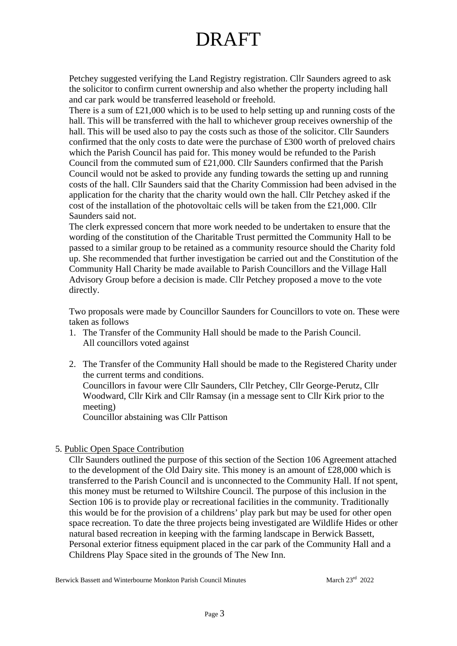Petchey suggested verifying the Land Registry registration. Cllr Saunders agreed to ask the solicitor to confirm current ownership and also whether the property including hall and car park would be transferred leasehold or freehold.

There is a sum of £21,000 which is to be used to help setting up and running costs of the hall. This will be transferred with the hall to whichever group receives ownership of the hall. This will be used also to pay the costs such as those of the solicitor. Cllr Saunders confirmed that the only costs to date were the purchase of £300 worth of preloved chairs which the Parish Council has paid for. This money would be refunded to the Parish Council from the commuted sum of £21,000. Cllr Saunders confirmed that the Parish Council would not be asked to provide any funding towards the setting up and running costs of the hall. Cllr Saunders said that the Charity Commission had been advised in the application for the charity that the charity would own the hall. Cllr Petchey asked if the cost of the installation of the photovoltaic cells will be taken from the £21,000. Cllr Saunders said not.

The clerk expressed concern that more work needed to be undertaken to ensure that the wording of the constitution of the Charitable Trust permitted the Community Hall to be passed to a similar group to be retained as a community resource should the Charity fold up. She recommended that further investigation be carried out and the Constitution of the Community Hall Charity be made available to Parish Councillors and the Village Hall Advisory Group before a decision is made. Cllr Petchey proposed a move to the vote directly.

Two proposals were made by Councillor Saunders for Councillors to vote on. These were taken as follows

- 1. The Transfer of the Community Hall should be made to the Parish Council. All councillors voted against
- 2. The Transfer of the Community Hall should be made to the Registered Charity under the current terms and conditions. Councillors in favour were Cllr Saunders, Cllr Petchey, Cllr George-Perutz, Cllr Woodward, Cllr Kirk and Cllr Ramsay (in a message sent to Cllr Kirk prior to the meeting) Councillor abstaining was Cllr Pattison

### 5. Public Open Space Contribution

 Cllr Saunders outlined the purpose of this section of the Section 106 Agreement attached to the development of the Old Dairy site. This money is an amount of £28,000 which is transferred to the Parish Council and is unconnected to the Community Hall. If not spent, this money must be returned to Wiltshire Council. The purpose of this inclusion in the Section 106 is to provide play or recreational facilities in the community. Traditionally this would be for the provision of a childrens' play park but may be used for other open space recreation. To date the three projects being investigated are Wildlife Hides or other natural based recreation in keeping with the farming landscape in Berwick Bassett, Personal exterior fitness equipment placed in the car park of the Community Hall and a Childrens Play Space sited in the grounds of The New Inn.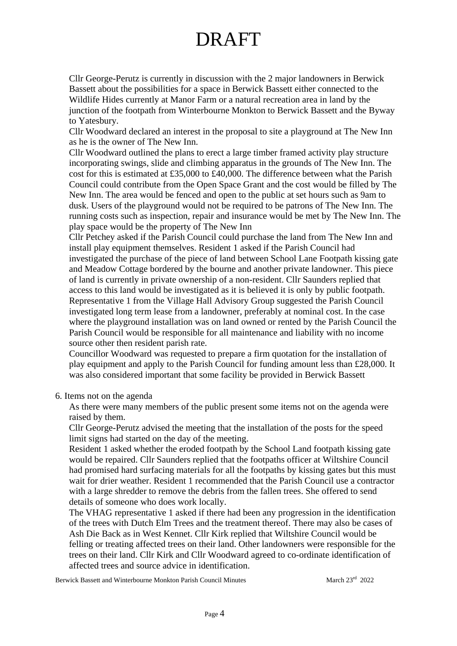Cllr George-Perutz is currently in discussion with the 2 major landowners in Berwick Bassett about the possibilities for a space in Berwick Bassett either connected to the Wildlife Hides currently at Manor Farm or a natural recreation area in land by the junction of the footpath from Winterbourne Monkton to Berwick Bassett and the Byway to Yatesbury.

 Cllr Woodward declared an interest in the proposal to site a playground at The New Inn as he is the owner of The New Inn.

 Cllr Woodward outlined the plans to erect a large timber framed activity play structure incorporating swings, slide and climbing apparatus in the grounds of The New Inn. The cost for this is estimated at £35,000 to £40,000. The difference between what the Parish Council could contribute from the Open Space Grant and the cost would be filled by The New Inn. The area would be fenced and open to the public at set hours such as 9am to dusk. Users of the playground would not be required to be patrons of The New Inn. The running costs such as inspection, repair and insurance would be met by The New Inn. The play space would be the property of The New Inn

 Cllr Petchey asked if the Parish Council could purchase the land from The New Inn and install play equipment themselves. Resident 1 asked if the Parish Council had investigated the purchase of the piece of land between School Lane Footpath kissing gate and Meadow Cottage bordered by the bourne and another private landowner. This piece of land is currently in private ownership of a non-resident. Cllr Saunders replied that access to this land would be investigated as it is believed it is only by public footpath. Representative 1 from the Village Hall Advisory Group suggested the Parish Council investigated long term lease from a landowner, preferably at nominal cost. In the case where the playground installation was on land owned or rented by the Parish Council the Parish Council would be responsible for all maintenance and liability with no income source other then resident parish rate.

 Councillor Woodward was requested to prepare a firm quotation for the installation of play equipment and apply to the Parish Council for funding amount less than £28,000. It was also considered important that some facility be provided in Berwick Bassett

#### 6. Items not on the agenda

 As there were many members of the public present some items not on the agenda were raised by them.

 Cllr George-Perutz advised the meeting that the installation of the posts for the speed limit signs had started on the day of the meeting.

 Resident 1 asked whether the eroded footpath by the School Land footpath kissing gate would be repaired. Cllr Saunders replied that the footpaths officer at Wiltshire Council had promised hard surfacing materials for all the footpaths by kissing gates but this must wait for drier weather. Resident 1 recommended that the Parish Council use a contractor with a large shredder to remove the debris from the fallen trees. She offered to send details of someone who does work locally.

 The VHAG representative 1 asked if there had been any progression in the identification of the trees with Dutch Elm Trees and the treatment thereof. There may also be cases of Ash Die Back as in West Kennet. Cllr Kirk replied that Wiltshire Council would be felling or treating affected trees on their land. Other landowners were responsible for the trees on their land. Cllr Kirk and Cllr Woodward agreed to co-ordinate identification of affected trees and source advice in identification.

Berwick Bassett and Winterbourne Monkton Parish Council Minutes March 23<sup>rd</sup> 2022